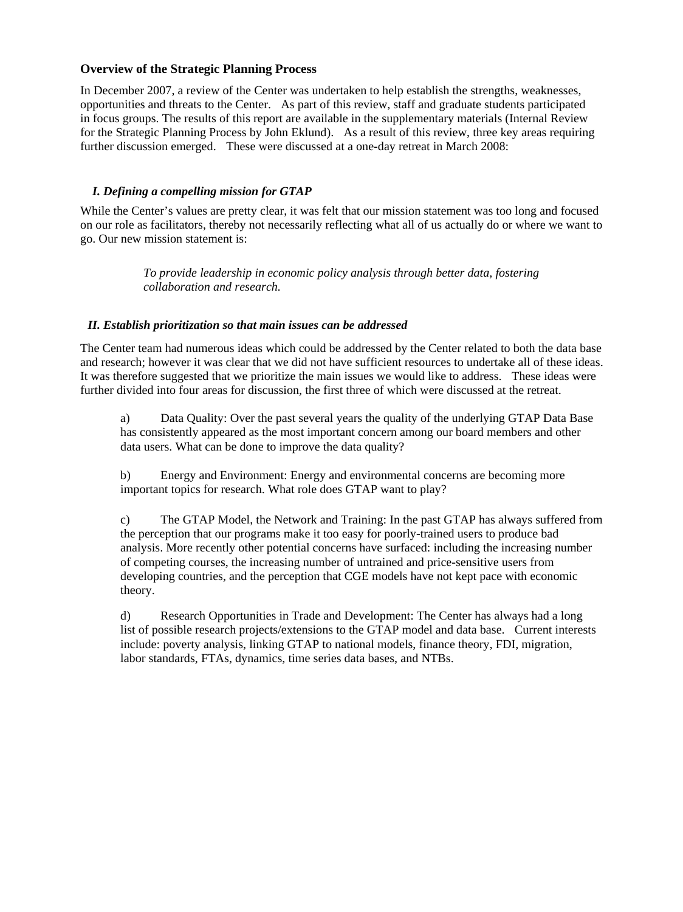# **Overview of the Strategic Planning Process**

In December 2007, a review of the Center was undertaken to help establish the strengths, weaknesses, opportunities and threats to the Center. As part of this review, staff and graduate students participated in focus groups. The results of this report are available in the supplementary materials (Internal Review for the Strategic Planning Process by John Eklund). As a result of this review, three key areas requir ing further discussion emerged. These were discussed at a one-day retreat in March 2008:

### *I. Defining a compelling mission for GTAP*

While the Center's values are pretty clear, it was felt that our mission statement was too long and focused on our role as facilitators, thereby not necessarily reflecting what all of us actually do or where we want to go. Our new mission statement is:

> *To provide leadership in economic policy analysis through better data, fostering collaboration and research.*

#### *II. Establish prioritization so that main issues can be addressed*

The Center team had numerous ideas which could be addressed by the Center related to both the data base and research; however it was clear that we did not have sufficient resources to undertake all of these ideas. It was therefore suggested that we prioritize the main issues we would like to address. These ideas were further divided into four areas for discussion, the first three of which were discussed at the retreat.

a) Data Quality: Over the past several years the quality of the underlying GTAP Data Base has consistently appeared as the most important concern among our board members and other data users. What can be done to improve the data quality?

b) Energy and Environment: Energy and environmental concerns are becoming more important topics for research. What role does GTAP want to play?

c) The GTAP Model, the Network and Training: In the past GTAP has always suffered from the perception that our programs make it too easy for poorly-trained users to produce bad analysis. More recently other potential concerns have surfaced: including the increasing number of competing courses, the increasing number of untrained and price-sensitive users from developing countries, and the perception that CGE models have not kept pace with economic theory.

d) Research Opportunities in Trade and Development: The Center has always had a long list of possible research projects/extensions to the GTAP model and data base. Current interests include: poverty analysis, linking GTAP to national models, finance theory, FDI, migration, labor standards, FTAs, dynamics, time series data bases, and NTBs.